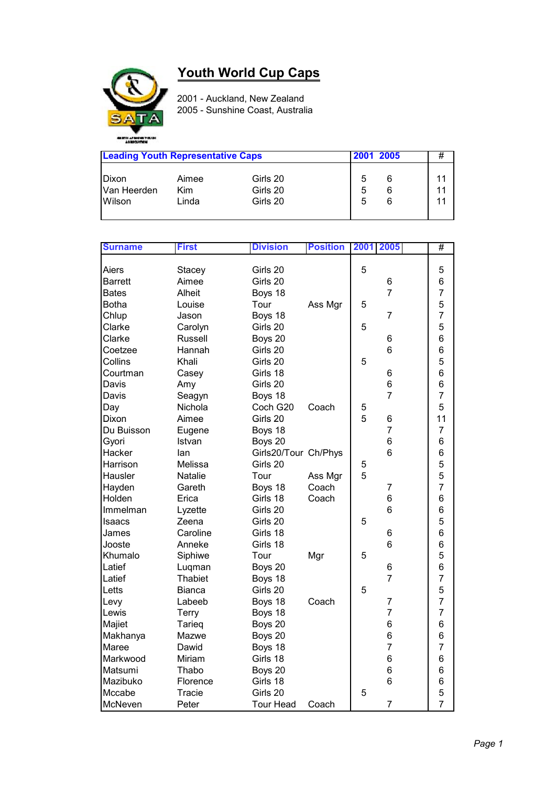## **Youth World Cup Caps**



2001 - Auckland, New Zealand 2005 - Sunshine Coast, Australia

| <b>Leading Youth Representative Caps</b> |            |          | 2001 2005 | # |    |
|------------------------------------------|------------|----------|-----------|---|----|
| <b>IDixon</b>                            | Aimee      | Girls 20 | 5         |   | 11 |
| Van Heerden                              | <b>Kim</b> | Girls 20 | 5         |   | 11 |
| Wilson                                   | Linda      | Girls 20 | 5         |   | 11 |

| <b>Surname</b> | <b>First</b>   | <b>Division</b>      | <b>Position</b> | 2001 | 2005           | #              |
|----------------|----------------|----------------------|-----------------|------|----------------|----------------|
|                |                |                      |                 |      |                |                |
| Aiers          | <b>Stacey</b>  | Girls 20             |                 | 5    |                | 5              |
| <b>Barrett</b> | Aimee          | Girls 20             |                 |      | 6              | 6              |
| <b>Bates</b>   | Alheit         | Boys 18              |                 |      | $\overline{7}$ | $\overline{7}$ |
| Botha          | Louise         | Tour                 | Ass Mgr         | 5    |                | 5              |
| Chlup          | Jason          | Boys 18              |                 |      | $\overline{7}$ | $\overline{7}$ |
| Clarke         | Carolyn        | Girls 20             |                 | 5    |                | 5              |
| Clarke         | <b>Russell</b> | Boys 20              |                 |      | 6              | 6              |
| Coetzee        | Hannah         | Girls 20             |                 |      | 6              | 6              |
| Collins        | Khali          | Girls 20             |                 | 5    |                | 5              |
| Courtman       | Casey          | Girls 18             |                 |      | 6              | 6              |
| Davis          | Amy            | Girls 20             |                 |      | 6              | 6              |
| Davis          | Seagyn         | Boys 18              |                 |      | $\overline{7}$ | $\overline{7}$ |
| Day            | Nichola        | Coch G20             | Coach           | 5    |                | 5              |
| Dixon          | Aimee          | Girls 20             |                 | 5    | 6              | 11             |
| Du Buisson     | Eugene         | Boys 18              |                 |      | $\overline{7}$ | $\overline{7}$ |
| Gyori          | Istvan         | Boys 20              |                 |      | 6              | 6              |
| Hacker         | lan            | Girls20/Tour Ch/Phys |                 |      | 6              | 6              |
| Harrison       | Melissa        | Girls 20             |                 | 5    |                | 5              |
| Hausler        | Natalie        | Tour                 | Ass Mgr         | 5    |                | 5              |
| Hayden         | Gareth         | Boys 18              | Coach           |      | 7              | $\overline{7}$ |
| Holden         | Erica          | Girls 18             | Coach           |      | 6              | 6              |
| Immelman       | Lyzette        | Girls 20             |                 |      | 6              | 6              |
| <b>Isaacs</b>  | Zeena          | Girls 20             |                 | 5    |                | 5              |
| James          | Caroline       | Girls 18             |                 |      | 6              | 6              |
| Jooste         | Anneke         | Girls 18             |                 |      | 6              | 6              |
| Khumalo        | Siphiwe        | Tour                 | Mgr             | 5    |                | 5              |
| Latief         | Luqman         | Boys 20              |                 |      | 6              | 6              |
| Latief         | <b>Thabiet</b> | Boys 18              |                 |      | $\overline{7}$ | $\overline{7}$ |
| Letts          | <b>Bianca</b>  | Girls 20             |                 | 5    |                | 5              |
| Levy           | Labeeb         | Boys 18              | Coach           |      | $\overline{7}$ | $\overline{7}$ |
| Lewis          | Terry          | Boys 18              |                 |      | $\overline{7}$ | $\overline{7}$ |
| Majiet         | Tarieg         | Boys 20              |                 |      | 6              | 6              |
| Makhanya       | Mazwe          | Boys 20              |                 |      | 6              | 6              |
| Maree          | Dawid          | Boys 18              |                 |      | $\overline{7}$ | $\overline{7}$ |
| Markwood       | Miriam         | Girls 18             |                 |      | 6              | 6              |
| Matsumi        | Thabo          | Boys 20              |                 |      | 6              | 6              |
| Mazibuko       | Florence       | Girls 18             |                 |      | 6              | 6              |
| Mccabe         | Tracie         | Girls 20             |                 | 5    |                | 5              |
| McNeven        | Peter          | <b>Tour Head</b>     | Coach           |      | $\overline{7}$ | $\overline{7}$ |